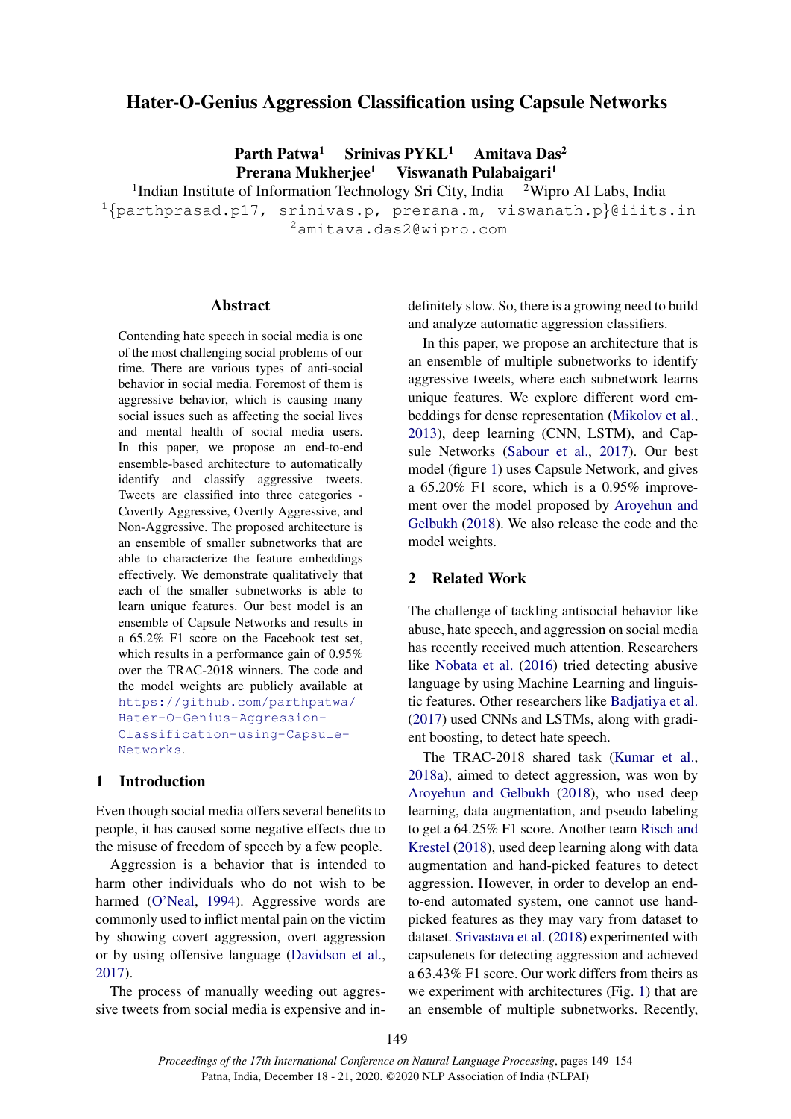# Hater-O-Genius Aggression Classification using Capsule Networks

Parth Patwa<sup>1</sup> Srinivas PYKL<sup>1</sup> Amitava Das<sup>2</sup>

Prerana Mukherjee<sup>1</sup> Viswanath Pulabaigari<sup>1</sup>

<sup>1</sup>Indian Institute of Information Technology Sri City, India <sup>2</sup>Wipro AI Labs, India  $1$ {parthprasad.p17, srinivas.p, prerana.m, viswanath.p}@iiits.in <sup>2</sup>amitava.das2@wipro.com

# **Abstract**

Contending hate speech in social media is one of the most challenging social problems of our time. There are various types of anti-social behavior in social media. Foremost of them is aggressive behavior, which is causing many social issues such as affecting the social lives and mental health of social media users. In this paper, we propose an end-to-end ensemble-based architecture to automatically identify and classify aggressive tweets. Tweets are classified into three categories - Covertly Aggressive, Overtly Aggressive, and Non-Aggressive. The proposed architecture is an ensemble of smaller subnetworks that are able to characterize the feature embeddings effectively. We demonstrate qualitatively that each of the smaller subnetworks is able to learn unique features. Our best model is an ensemble of Capsule Networks and results in a 65.2% F1 score on the Facebook test set, which results in a performance gain of 0.95% over the TRAC-2018 winners. The code and the model weights are publicly available at [https://github.com/parthpatwa/](https://github.com/parthpatwa/Hater-O-Genius-Aggression-Classification-using-Capsule-Networks) [Hater-O-Genius-Aggression-](https://github.com/parthpatwa/Hater-O-Genius-Aggression-Classification-using-Capsule-Networks)[Classification-using-Capsule-](https://github.com/parthpatwa/Hater-O-Genius-Aggression-Classification-using-Capsule-Networks)[Networks](https://github.com/parthpatwa/Hater-O-Genius-Aggression-Classification-using-Capsule-Networks).

## 1 Introduction

Even though social media offers several benefits to people, it has caused some negative effects due to the misuse of freedom of speech by a few people.

Aggression is a behavior that is intended to harm other individuals who do not wish to be harmed [\(O'Neal,](#page-5-0) [1994\)](#page-5-0). Aggressive words are commonly used to inflict mental pain on the victim by showing covert aggression, overt aggression or by using offensive language [\(Davidson et al.,](#page-4-0) [2017\)](#page-4-0).

The process of manually weeding out aggressive tweets from social media is expensive and in-

definitely slow. So, there is a growing need to build and analyze automatic aggression classifiers.

In this paper, we propose an architecture that is an ensemble of multiple subnetworks to identify aggressive tweets, where each subnetwork learns unique features. We explore different word embeddings for dense representation [\(Mikolov et al.,](#page-5-1) [2013\)](#page-5-1), deep learning (CNN, LSTM), and Capsule Networks [\(Sabour et al.,](#page-5-2) [2017\)](#page-5-2). Our best model (figure [1\)](#page-2-0) uses Capsule Network, and gives a 65.20% F1 score, which is a 0.95% improvement over the model proposed by [Aroyehun and](#page-4-1) [Gelbukh](#page-4-1) [\(2018\)](#page-4-1). We also release the code and the model weights.

# 2 Related Work

The challenge of tackling antisocial behavior like abuse, hate speech, and aggression on social media has recently received much attention. Researchers like [Nobata et al.](#page-5-3) [\(2016\)](#page-5-3) tried detecting abusive language by using Machine Learning and linguistic features. Other researchers like [Badjatiya et al.](#page-4-2) [\(2017\)](#page-4-2) used CNNs and LSTMs, along with gradient boosting, to detect hate speech.

The TRAC-2018 shared task [\(Kumar et al.,](#page-4-3) [2018a\)](#page-4-3), aimed to detect aggression, was won by [Aroyehun and Gelbukh](#page-4-1) [\(2018\)](#page-4-1), who used deep learning, data augmentation, and pseudo labeling to get a 64.25% F1 score. Another team [Risch and](#page-5-4) [Krestel](#page-5-4) [\(2018\)](#page-5-4), used deep learning along with data augmentation and hand-picked features to detect aggression. However, in order to develop an endto-end automated system, one cannot use handpicked features as they may vary from dataset to dataset. [Srivastava et al.](#page-5-5) [\(2018\)](#page-5-5) experimented with capsulenets for detecting aggression and achieved a 63.43% F1 score. Our work differs from theirs as we experiment with architectures (Fig. [1\)](#page-2-0) that are an ensemble of multiple subnetworks. Recently,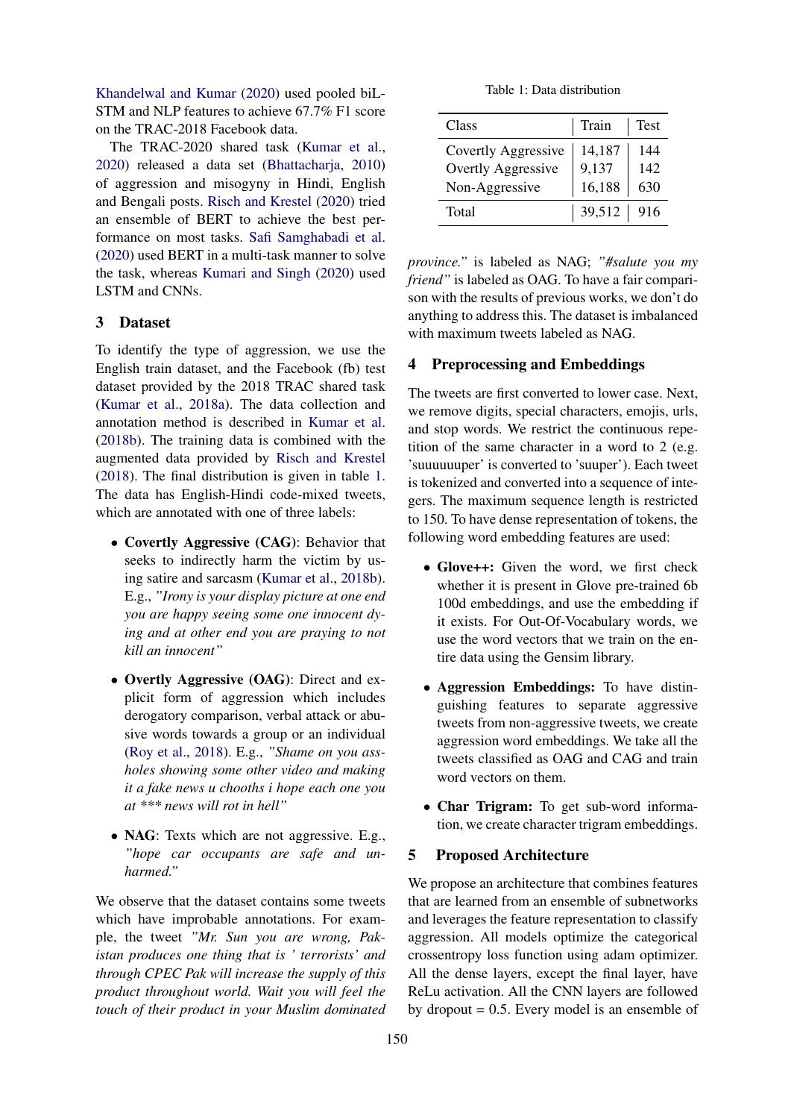[Khandelwal and Kumar](#page-4-4) [\(2020\)](#page-4-4) used pooled biL-STM and NLP features to achieve 67.7% F1 score on the TRAC-2018 Facebook data.

The TRAC-2020 shared task [\(Kumar et al.,](#page-4-5) [2020\)](#page-4-5) released a data set [\(Bhattacharja,](#page-4-6) [2010\)](#page-4-6) of aggression and misogyny in Hindi, English and Bengali posts. [Risch and Krestel](#page-5-6) [\(2020\)](#page-5-6) tried an ensemble of BERT to achieve the best performance on most tasks. [Safi Samghabadi et al.](#page-5-7) [\(2020\)](#page-5-7) used BERT in a multi-task manner to solve the task, whereas [Kumari and Singh](#page-4-7) [\(2020\)](#page-4-7) used LSTM and CNNs.

# 3 Dataset

To identify the type of aggression, we use the English train dataset, and the Facebook (fb) test dataset provided by the 2018 TRAC shared task [\(Kumar et al.,](#page-4-3) [2018a\)](#page-4-3). The data collection and annotation method is described in [Kumar et al.](#page-4-8) [\(2018b\)](#page-4-8). The training data is combined with the augmented data provided by [Risch and Krestel](#page-5-4) [\(2018\)](#page-5-4). The final distribution is given in table [1.](#page-1-0) The data has English-Hindi code-mixed tweets, which are annotated with one of three labels:

- Covertly Aggressive (CAG): Behavior that seeks to indirectly harm the victim by using satire and sarcasm [\(Kumar et al.,](#page-4-8) [2018b\)](#page-4-8). E.g., *"Irony is your display picture at one end you are happy seeing some one innocent dying and at other end you are praying to not kill an innocent"*
- Overtly Aggressive (OAG): Direct and explicit form of aggression which includes derogatory comparison, verbal attack or abusive words towards a group or an individual [\(Roy et al.,](#page-5-8) [2018\)](#page-5-8). E.g., *"Shame on you assholes showing some other video and making it a fake news u chooths i hope each one you at \*\*\* news will rot in hell"*
- **NAG**: Texts which are not aggressive. E.g., *"hope car occupants are safe and unharmed."*

We observe that the dataset contains some tweets which have improbable annotations. For example, the tweet *"Mr. Sun you are wrong, Pakistan produces one thing that is ' terrorists' and through CPEC Pak will increase the supply of this product throughout world. Wait you will feel the touch of their product in your Muslim dominated*

Table 1: Data distribution

<span id="page-1-0"></span>

| Class                     | Train  | <b>Test</b> |
|---------------------------|--------|-------------|
| Covertly Aggressive       | 14,187 | 144         |
| <b>Overtly Aggressive</b> | 9,137  | 142         |
| Non-Aggressive            | 16,188 | 630         |
| Total                     | 39,512 | 916         |

*province."* is labeled as NAG; *"#salute you my friend"* is labeled as OAG. To have a fair comparison with the results of previous works, we don't do anything to address this. The dataset is imbalanced with maximum tweets labeled as NAG.

# 4 Preprocessing and Embeddings

The tweets are first converted to lower case. Next, we remove digits, special characters, emojis, urls, and stop words. We restrict the continuous repetition of the same character in a word to 2 (e.g. 'suuuuuuper' is converted to 'suuper'). Each tweet is tokenized and converted into a sequence of integers. The maximum sequence length is restricted to 150. To have dense representation of tokens, the following word embedding features are used:

- Glove++: Given the word, we first check whether it is present in Glove pre-trained 6b 100d embeddings, and use the embedding if it exists. For Out-Of-Vocabulary words, we use the word vectors that we train on the entire data using the Gensim library.
- Aggression Embeddings: To have distinguishing features to separate aggressive tweets from non-aggressive tweets, we create aggression word embeddings. We take all the tweets classified as OAG and CAG and train word vectors on them.
- Char Trigram: To get sub-word information, we create character trigram embeddings.

### 5 Proposed Architecture

We propose an architecture that combines features that are learned from an ensemble of subnetworks and leverages the feature representation to classify aggression. All models optimize the categorical crossentropy loss function using adam optimizer. All the dense layers, except the final layer, have ReLu activation. All the CNN layers are followed by dropout  $= 0.5$ . Every model is an ensemble of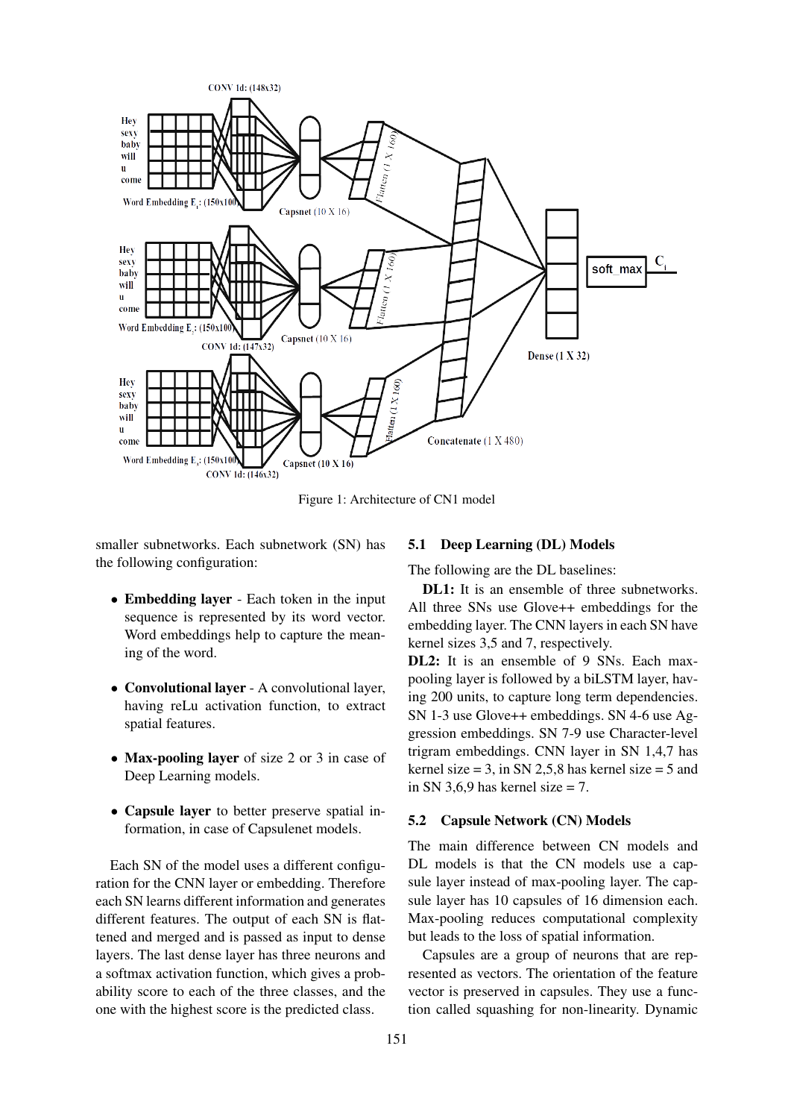<span id="page-2-0"></span>

Figure 1: Architecture of CN1 model

smaller subnetworks. Each subnetwork (SN) has the following configuration:

- Embedding layer Each token in the input sequence is represented by its word vector. Word embeddings help to capture the meaning of the word.
- Convolutional layer A convolutional layer, having reLu activation function, to extract spatial features.
- Max-pooling layer of size 2 or 3 in case of Deep Learning models.
- Capsule layer to better preserve spatial information, in case of Capsulenet models.

Each SN of the model uses a different configuration for the CNN layer or embedding. Therefore each SN learns different information and generates different features. The output of each SN is flattened and merged and is passed as input to dense layers. The last dense layer has three neurons and a softmax activation function, which gives a probability score to each of the three classes, and the one with the highest score is the predicted class.

#### 5.1 Deep Learning (DL) Models

The following are the DL baselines:

DL1: It is an ensemble of three subnetworks. All three SNs use Glove++ embeddings for the embedding layer. The CNN layers in each SN have kernel sizes 3,5 and 7, respectively.

DL2: It is an ensemble of 9 SNs. Each maxpooling layer is followed by a biLSTM layer, having 200 units, to capture long term dependencies. SN 1-3 use Glove++ embeddings. SN 4-6 use Aggression embeddings. SN 7-9 use Character-level trigram embeddings. CNN layer in SN 1,4,7 has kernel size  $= 3$ , in SN 2,5,8 has kernel size  $= 5$  and in SN 3,6,9 has kernel size  $= 7$ .

#### 5.2 Capsule Network (CN) Models

The main difference between CN models and DL models is that the CN models use a capsule layer instead of max-pooling layer. The capsule layer has 10 capsules of 16 dimension each. Max-pooling reduces computational complexity but leads to the loss of spatial information.

Capsules are a group of neurons that are represented as vectors. The orientation of the feature vector is preserved in capsules. They use a function called squashing for non-linearity. Dynamic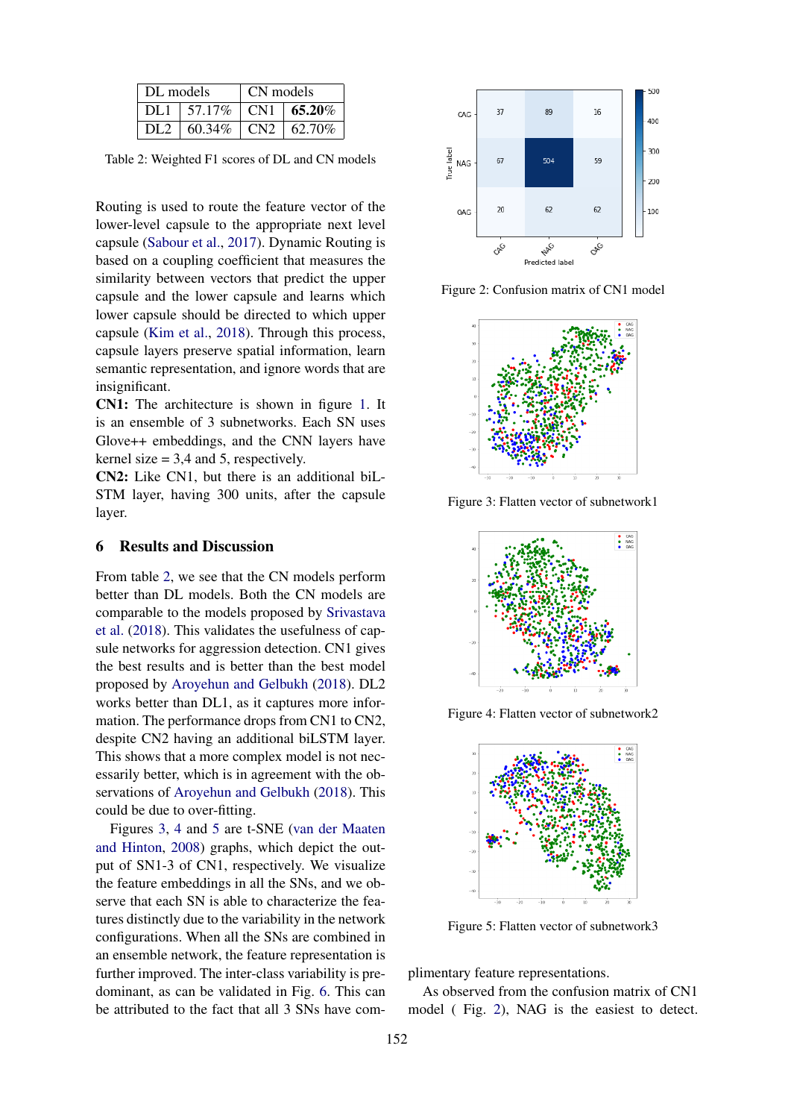<span id="page-3-0"></span>

| DL models       |                           | CN models |  |
|-----------------|---------------------------|-----------|--|
| DI.1            | $157.17\%$ CN1 $165.20\%$ |           |  |
| DL <sub>2</sub> | $160.34\%$ CN2 $162.70\%$ |           |  |

Table 2: Weighted F1 scores of DL and CN models

Routing is used to route the feature vector of the lower-level capsule to the appropriate next level capsule [\(Sabour et al.,](#page-5-2) [2017\)](#page-5-2). Dynamic Routing is based on a coupling coefficient that measures the similarity between vectors that predict the upper capsule and the lower capsule and learns which lower capsule should be directed to which upper capsule [\(Kim et al.,](#page-4-9) [2018\)](#page-4-9). Through this process, capsule layers preserve spatial information, learn semantic representation, and ignore words that are insignificant.

CN1: The architecture is shown in figure [1.](#page-2-0) It is an ensemble of 3 subnetworks. Each SN uses Glove++ embeddings, and the CNN layers have kernel size  $= 3.4$  and 5, respectively.

CN2: Like CN1, but there is an additional biL-STM layer, having 300 units, after the capsule layer.

### 6 Results and Discussion

From table [2,](#page-3-0) we see that the CN models perform better than DL models. Both the CN models are comparable to the models proposed by [Srivastava](#page-5-5) [et al.](#page-5-5) [\(2018\)](#page-5-5). This validates the usefulness of capsule networks for aggression detection. CN1 gives the best results and is better than the best model proposed by [Aroyehun and Gelbukh](#page-4-1) [\(2018\)](#page-4-1). DL2 works better than DL1, as it captures more information. The performance drops from CN1 to CN2, despite CN2 having an additional biLSTM layer. This shows that a more complex model is not necessarily better, which is in agreement with the observations of [Aroyehun and Gelbukh](#page-4-1) [\(2018\)](#page-4-1). This could be due to over-fitting.

Figures [3,](#page-3-1) [4](#page-3-2) and [5](#page-3-3) are t-SNE [\(van der Maaten](#page-5-9) [and Hinton,](#page-5-9) [2008\)](#page-5-9) graphs, which depict the output of SN1-3 of CN1, respectively. We visualize the feature embeddings in all the SNs, and we observe that each SN is able to characterize the features distinctly due to the variability in the network configurations. When all the SNs are combined in an ensemble network, the feature representation is further improved. The inter-class variability is predominant, as can be validated in Fig. [6.](#page-4-10) This can be attributed to the fact that all 3 SNs have com-

<span id="page-3-4"></span>

<span id="page-3-1"></span>Figure 2: Confusion matrix of CN1 model



<span id="page-3-2"></span>Figure 3: Flatten vector of subnetwork1



<span id="page-3-3"></span>Figure 4: Flatten vector of subnetwork2



Figure 5: Flatten vector of subnetwork3

plimentary feature representations.

As observed from the confusion matrix of CN1 model ( Fig. [2\)](#page-3-4), NAG is the easiest to detect.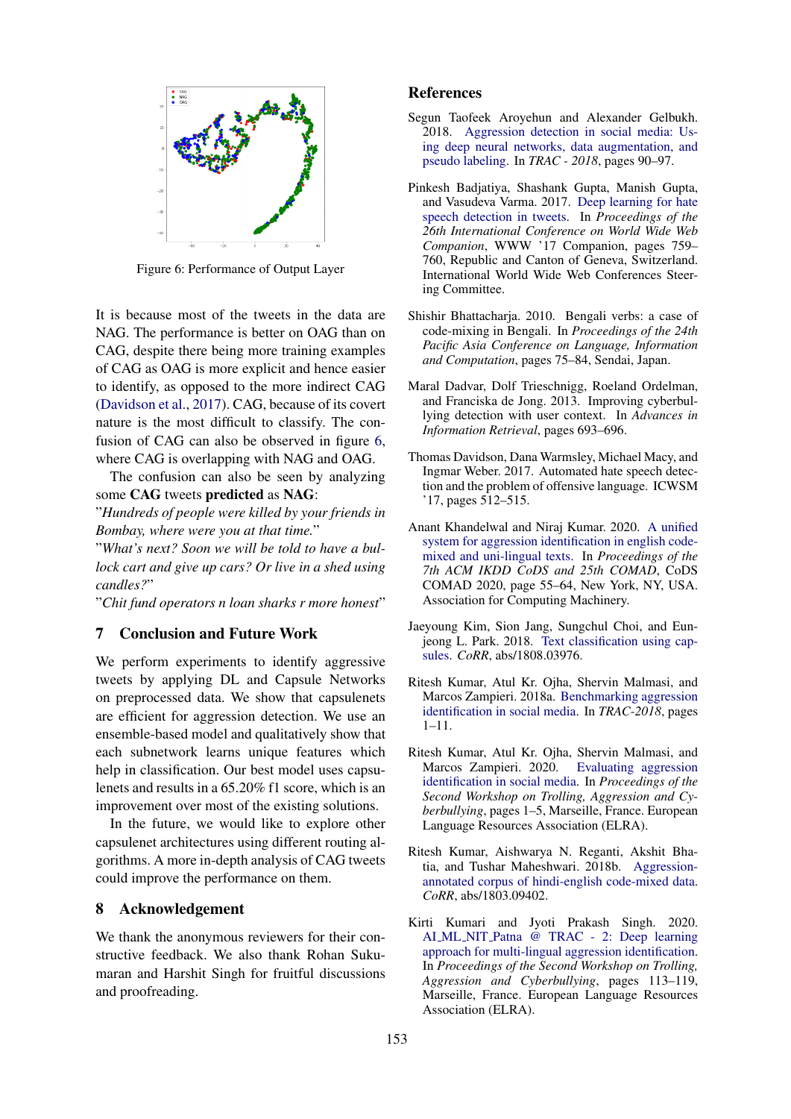<span id="page-4-10"></span>

Figure 6: Performance of Output Layer

It is because most of the tweets in the data are NAG. The performance is better on OAG than on CAG, despite there being more training examples of CAG as OAG is more explicit and hence easier to identify, as opposed to the more indirect CAG [\(Davidson et al.,](#page-4-0) [2017\)](#page-4-0). CAG, because of its covert nature is the most difficult to classify. The confusion of CAG can also be observed in figure [6,](#page-4-10) where CAG is overlapping with NAG and OAG.

The confusion can also be seen by analyzing some CAG tweets predicted as NAG:

"*Hundreds of people were killed by your friends in Bombay, where were you at that time.*"

"*What's next? Soon we will be told to have a bullock cart and give up cars? Or live in a shed using candles?*"

"*Chit fund operators n loan sharks r more honest*"

# 7 Conclusion and Future Work

We perform experiments to identify aggressive tweets by applying DL and Capsule Networks on preprocessed data. We show that capsulenets are efficient for aggression detection. We use an ensemble-based model and qualitatively show that each subnetwork learns unique features which help in classification. Our best model uses capsulenets and results in a 65.20% f1 score, which is an improvement over most of the existing solutions.

In the future, we would like to explore other capsulenet architectures using different routing algorithms. A more in-depth analysis of CAG tweets could improve the performance on them.

### 8 Acknowledgement

We thank the anonymous reviewers for their constructive feedback. We also thank Rohan Sukumaran and Harshit Singh for fruitful discussions and proofreading.

#### References

- <span id="page-4-1"></span>Segun Taofeek Aroyehun and Alexander Gelbukh. 2018. [Aggression detection in social media: Us](http://aclweb.org/anthology/W18-4411)[ing deep neural networks, data augmentation, and](http://aclweb.org/anthology/W18-4411) [pseudo labeling.](http://aclweb.org/anthology/W18-4411) In *TRAC - 2018*, pages 90–97.
- <span id="page-4-2"></span>Pinkesh Badjatiya, Shashank Gupta, Manish Gupta, and Vasudeva Varma. 2017. [Deep learning for hate](https://doi.org/10.1145/3041021.3054223) [speech detection in tweets.](https://doi.org/10.1145/3041021.3054223) In *Proceedings of the 26th International Conference on World Wide Web Companion*, WWW '17 Companion, pages 759– 760, Republic and Canton of Geneva, Switzerland. International World Wide Web Conferences Steering Committee.
- <span id="page-4-6"></span>Shishir Bhattacharja. 2010. Bengali verbs: a case of code-mixing in Bengali. In *Proceedings of the 24th Pacific Asia Conference on Language, Information and Computation*, pages 75–84, Sendai, Japan.
- Maral Dadvar, Dolf Trieschnigg, Roeland Ordelman, and Franciska de Jong. 2013. Improving cyberbullying detection with user context. In *Advances in Information Retrieval*, pages 693–696.
- <span id="page-4-0"></span>Thomas Davidson, Dana Warmsley, Michael Macy, and Ingmar Weber. 2017. Automated hate speech detection and the problem of offensive language. ICWSM '17, pages 512–515.
- <span id="page-4-4"></span>Anant Khandelwal and Niraj Kumar. 2020. [A unified](https://doi.org/10.1145/3371158.3371165) [system for aggression identification in english code](https://doi.org/10.1145/3371158.3371165)[mixed and uni-lingual texts.](https://doi.org/10.1145/3371158.3371165) In *Proceedings of the 7th ACM IKDD CoDS and 25th COMAD*, CoDS COMAD 2020, page 55–64, New York, NY, USA. Association for Computing Machinery.
- <span id="page-4-9"></span>Jaeyoung Kim, Sion Jang, Sungchul Choi, and Eunjeong L. Park. 2018. [Text classification using cap](http://arxiv.org/abs/1808.03976)[sules.](http://arxiv.org/abs/1808.03976) *CoRR*, abs/1808.03976.
- <span id="page-4-3"></span>Ritesh Kumar, Atul Kr. Ojha, Shervin Malmasi, and Marcos Zampieri. 2018a. [Benchmarking aggression](http://aclweb.org/anthology/W18-4401) [identification in social media.](http://aclweb.org/anthology/W18-4401) In *TRAC-2018*, pages 1–11.
- <span id="page-4-5"></span>Ritesh Kumar, Atul Kr. Ojha, Shervin Malmasi, and Marcos Zampieri. 2020. [Evaluating aggression](https://www.aclweb.org/anthology/2020.trac-1.1) [identification in social media.](https://www.aclweb.org/anthology/2020.trac-1.1) In *Proceedings of the Second Workshop on Trolling, Aggression and Cyberbullying*, pages 1–5, Marseille, France. European Language Resources Association (ELRA).
- <span id="page-4-8"></span>Ritesh Kumar, Aishwarya N. Reganti, Akshit Bhatia, and Tushar Maheshwari. 2018b. [Aggression](http://arxiv.org/abs/1803.09402)[annotated corpus of hindi-english code-mixed data.](http://arxiv.org/abs/1803.09402) *CoRR*, abs/1803.09402.
- <span id="page-4-7"></span>Kirti Kumari and Jyoti Prakash Singh. 2020. AI ML NIT [Patna @ TRAC - 2: Deep learning](https://www.aclweb.org/anthology/2020.trac-1.18) [approach for multi-lingual aggression identification.](https://www.aclweb.org/anthology/2020.trac-1.18) In *Proceedings of the Second Workshop on Trolling, Aggression and Cyberbullying*, pages 113–119, Marseille, France. European Language Resources Association (ELRA).